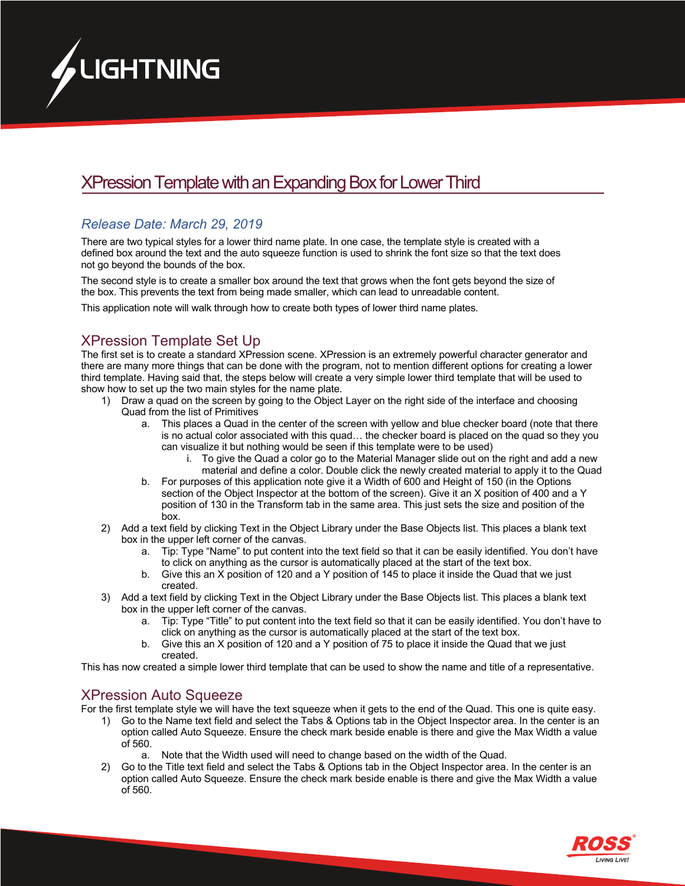

# XPression Template with an Expanding Box for Lower Third

#### *Release Date: March 29, 2019*

There are two typical styles for a lower third name plate. In one case, the template style is created with a defined box around the text and the auto squeeze function is used to shrink the font size so that the text does not go beyond the bounds of the box.

The second style is to create a smaller box around the text that grows when the font gets beyond the size of the box. This prevents the text from being made smaller, which can lead to unreadable content.

This application note will walk through how to create both types of lower third name plates.

## XPression Template Set Up

The first set is to create a standard XPression scene. XPression is an extremely powerful character generator and there are many more things that can be done with the program, not to mention different options for creating a lower third template. Having said that, the steps below will create a very simple lower third template that will be used to show how to set up the two main styles for the name plate.

- 1) Draw a quad on the screen by going to the Object Layer on the right side of the interface and choosing Quad from the list of Primitives
	- a. This places a Quad in the center of the screen with yellow and blue checker board (note that there is no actual color associated with this quad… the checker board is placed on the quad so they you can visualize it but nothing would be seen if this template were to be used)
		- i. To give the Quad a color go to the Material Manager slide out on the right and add a new material and define a color. Double click the newly created material to apply it to the Quad
	- b. For purposes of this application note give it a Width of 600 and Height of 150 (in the Options section of the Object Inspector at the bottom of the screen). Give it an X position of 400 and a Y position of 130 in the Transform tab in the same area. This just sets the size and position of the box.
- 2) Add a text field by clicking Text in the Object Library under the Base Objects list. This places a blank text box in the upper left corner of the canvas.
	- a. Tip: Type "Name" to put content into the text field so that it can be easily identified. You don't have to click on anything as the cursor is automatically placed at the start of the text box.
	- b. Give this an X position of 120 and a Y position of 145 to place it inside the Quad that we just created.
- 3) Add a text field by clicking Text in the Object Library under the Base Objects list. This places a blank text box in the upper left corner of the canvas.
	- a. Tip: Type "Title" to put content into the text field so that it can be easily identified. You don't have to click on anything as the cursor is automatically placed at the start of the text box.
	- b. Give this an X position of 120 and a Y position of 75 to place it inside the Quad that we just created.

This has now created a simple lower third template that can be used to show the name and title of a representative.

#### XPression Auto Squeeze

For the first template style we will have the text squeeze when it gets to the end of the Quad. This one is quite easy.

- 1) Go to the Name text field and select the Tabs & Options tab in the Object Inspector area. In the center is an option called Auto Squeeze. Ensure the check mark beside enable is there and give the Max Width a value of 560.
	- a. Note that the Width used will need to change based on the width of the Quad.
- 2) Go to the Title text field and select the Tabs & Options tab in the Object Inspector area. In the center is an option called Auto Squeeze. Ensure the check mark beside enable is there and give the Max Width a value of 560.